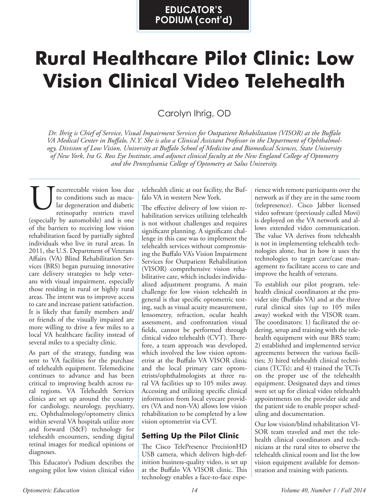# **Rural Healthcare Pilot Clinic: Low Vision Clinical Video Telehealth**

Carolyn Ihrig, OD

*Dr. Ihrig is Chief of Service, Visual Impairment Services for Outpatient Rehabilitation (VISOR) at the Buffalo VA Medical Center in Buffalo, N.Y. She is also a Clinical Assistant Professor in the Department of Ophthalmology, Division of Low Vision, University at Buffalo School of Medicine and Biomedical Sciences, State University of New York, Ira G. Ross Eye Institute, and adjunct clinical faculty at the New England College of Optometry and the Pennsylvania College of Optometry at Salus University.*

ncorrectable vision loss due to conditions such as macular degeneration and diabetic retinopathy restricts travel (especially by automobile) and is one of the barriers to receiving low vision rehabilitation faced by partially sighted individuals who live in rural areas. In 2011, the U.S. Department of Veterans Affairs (VA) Blind Rehabilitation Services (BRS) began pursuing innovative care delivery strategies to help veterans with visual impairment, especially those residing in rural or highly rural areas. The intent was to improve access to care and increase patient satisfaction. It is likely that family members and/ or friends of the visually impaired are more willing to drive a few miles to a local VA healthcare facility instead of several miles to a specialty clinic. Interaction such as macu-<br>
It is conditions such as macu-<br>
Iar degeneration and diabetic<br>
The effective delivery of low vision re-<br>
retinopathy restricts travel<br>
Abilitation services utilizing telehealth

As part of the strategy, funding was sent to VA facilities for the purchase of telehealth equipment. Telemedicine continues to advance and has been critical to improving health across rural regions. VA Telehealth Services clinics are set up around the country for cardiology, neurology, psychiatry, etc. Ophthalmology/optometry clinics within several VA hospitals utilize store and forward (S&F) technology for telehealth encounters, sending digital retinal images for medical opinions or diagnoses.

This Educator's Podium describes the ongoing pilot low vision clinical video

falo VA in western New York.

The effective delivery of low vision rehabilitation services utilizing telehealth is not without challenges and requires significant planning. A significant challenge in this case was to implement the telehealth services without compromising the Buffalo VA's Vision Impairment Services for Outpatient Rehabilitation (VISOR) comprehensive vision rehabilitative care, which includes individualized adjustment programs. A main challenge for low vision telehealth in general is that specific optometric testing, such as visual acuity measurement, lensometry, refraction, ocular health assessment, and confrontation visual fields, cannot be performed through clinical video telehealth (CVT). Therefore, a team approach was developed, which involved the low vision optometrist at the Buffalo VA VISOR clinic and the local primary care optometrists/ophthalmologists at three rural VA facilities up to 105 miles away. Accessing and utilizing specific clinical information from local eyecare providers (VA and non-VA) allows low vision rehabilitation to be completed by a low vision optometrist via CVT.

## **Setting Up the Pilot Clinic**

The Cisco TelePresence PrecisionHD USB camera, which delivers high-definition business-quality video, is set up at the Buffalo VA VISOR clinic. This technology enables a face-to-face experience with remote participants over the network as if they are in the same room (telepresence). Cisco Jabber licensed video software (previously called Movi) is deployed on the VA network and allows extended video communication. The value VA derives from telehealth is not in implementing telehealth technologies alone, but in how it uses the technologies to target care/case management to facilitate access to care and improve the health of veterans.

To establish our pilot program, telehealth clinical coordinators at the provider site (Buffalo VA) and at the three rural clinical sites (up to 105 miles away) worked with the VISOR team. The coordinators: 1) facilitated the ordering, setup and training with the telehealth equipment with our BRS team; 2) established and implemented service agreements between the various facilities; 3) hired telehealth clinical technicians (TCTs); and 4) trained the TCTs on the proper use of the telehealth equipment. Designated days and times were set up for clinical video telehealth appointments on the provider side and the patient side to enable proper scheduling and documentation.

Our low vision/blind rehabilitation VI-SOR team traveled and met the telehealth clinical coordinators and technicians at the rural sites to observe the telehealth clinical room and list the low vision equipment available for demonstration and training with patients.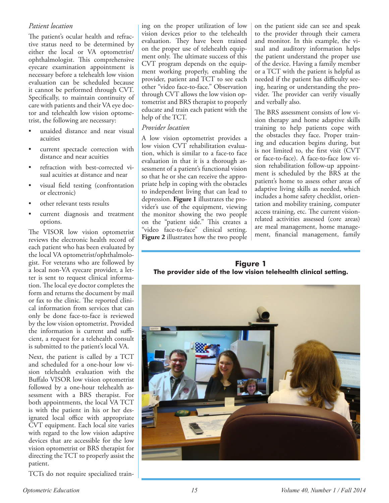#### *Patient location*

The patient's ocular health and refractive status need to be determined by either the local or VA optometrist/ ophthalmologist. This comprehensive eyecare examination appointment is necessary before a telehealth low vision evaluation can be scheduled because it cannot be performed through CVT. Specifically, to maintain continuity of care with patients and their VA eye doctor and telehealth low vision optometrist, the following are necessary:

- unaided distance and near visual acuities
- current spectacle correction with distance and near acuities
- refraction with best-corrected visual acuities at distance and near
- visual field testing (confrontation or electronic)
- other relevant tests results
- current diagnosis and treatment options.

The VISOR low vision optometrist reviews the electronic health record of each patient who has been evaluated by the local VA optometrist/ophthalmologist. For veterans who are followed by a local non-VA eyecare provider, a letter is sent to request clinical information. The local eye doctor completes the form and returns the document by mail or fax to the clinic. The reported clinical information from services that can only be done face-to-face is reviewed by the low vision optometrist. Provided the information is current and sufficient, a request for a telehealth consult is submitted to the patient's local VA.

Next, the patient is called by a TCT and scheduled for a one-hour low vision telehealth evaluation with the Buffalo VISOR low vision optometrist followed by a one-hour telehealth assessment with a BRS therapist. For both appointments, the local VA TCT is with the patient in his or her designated local office with appropriate CVT equipment. Each local site varies with regard to the low vision adaptive devices that are accessible for the low vision optometrist or BRS therapist for directing the TCT to properly assist the patient.

TCTs do not require specialized train-

ing on the proper utilization of low vision devices prior to the telehealth evaluation. They have been trained on the proper use of telehealth equipment only. The ultimate success of this CVT program depends on the equipment working properly, enabling the provider, patient and TCT to see each other "video face-to-face." Observation through CVT allows the low vision optometrist and BRS therapist to properly educate and train each patient with the help of the TCT.

#### *Provider location*

A low vision optometrist provides a low vision CVT rehabilitation evaluation, which is similar to a face-to face evaluation in that it is a thorough assessment of a patient's functional vision so that he or she can receive the appropriate help in coping with the obstacles to independent living that can lead to depression. **Figure 1** illustrates the provider's use of the equipment, viewing the monitor showing the two people on the "patient side." This creates a "video face-to-face" clinical setting. **Figure 2** illustrates how the two people on the patient side can see and speak to the provider through their camera and monitor. In this example, the visual and auditory information helps the patient understand the proper use of the device. Having a family member or a TCT with the patient is helpful as needed if the patient has difficulty seeing, hearing or understanding the provider. The provider can verify visually and verbally also.

The BRS assessment consists of low vision therapy and home adaptive skills training to help patients cope with the obstacles they face. Proper training and education begins during, but is not limited to, the first visit (CVT or face-to-face). A face-to-face low vision rehabilitation follow-up appointment is scheduled by the BRS at the patient's home to assess other areas of adaptive living skills as needed, which includes a home safety checklist, orientation and mobility training, computer access training, etc. The current visionrelated activities assessed (core areas) are meal management, home management, financial management, family

#### **Figure 1 The provider side of the low vision telehealth clinical setting.**